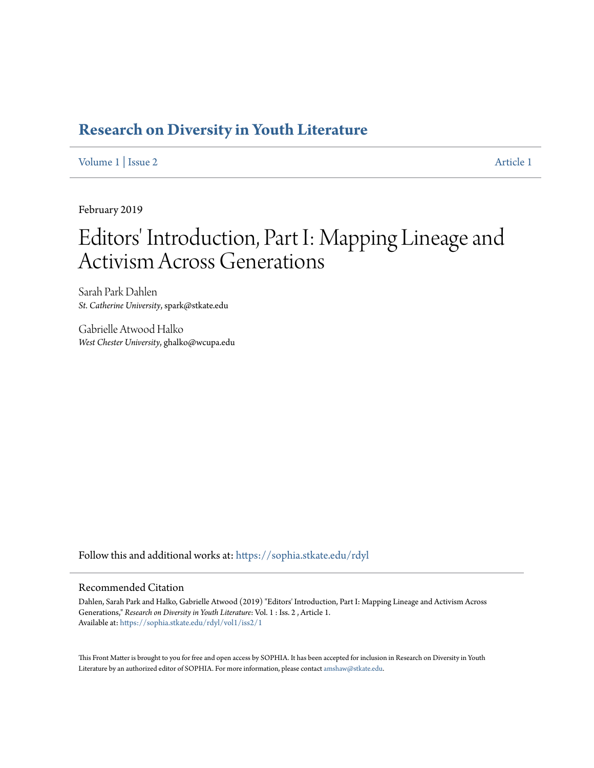## **[Research on Diversity in Youth Literature](https://sophia.stkate.edu/rdyl?utm_source=sophia.stkate.edu%2Frdyl%2Fvol1%2Fiss2%2F1&utm_medium=PDF&utm_campaign=PDFCoverPages)**

[Volume 1](https://sophia.stkate.edu/rdyl/vol1?utm_source=sophia.stkate.edu%2Frdyl%2Fvol1%2Fiss2%2F1&utm_medium=PDF&utm_campaign=PDFCoverPages) | [Issue 2](https://sophia.stkate.edu/rdyl/vol1/iss2?utm_source=sophia.stkate.edu%2Frdyl%2Fvol1%2Fiss2%2F1&utm_medium=PDF&utm_campaign=PDFCoverPages) [Article 1](https://sophia.stkate.edu/rdyl/vol1/iss2/1?utm_source=sophia.stkate.edu%2Frdyl%2Fvol1%2Fiss2%2F1&utm_medium=PDF&utm_campaign=PDFCoverPages)

February 2019

# Editors' Introduction, Part I: Mapping Lineage and Activism Across Generations

Sarah Park Dahlen *St. Catherine University*, spark@stkate.edu

Gabrielle Atwood Halko *West Chester University*, ghalko@wcupa.edu

Follow this and additional works at: [https://sophia.stkate.edu/rdyl](https://sophia.stkate.edu/rdyl?utm_source=sophia.stkate.edu%2Frdyl%2Fvol1%2Fiss2%2F1&utm_medium=PDF&utm_campaign=PDFCoverPages)

#### Recommended Citation

Dahlen, Sarah Park and Halko, Gabrielle Atwood (2019) "Editors' Introduction, Part I: Mapping Lineage and Activism Across Generations," *Research on Diversity in Youth Literature*: Vol. 1 : Iss. 2 , Article 1. Available at: [https://sophia.stkate.edu/rdyl/vol1/iss2/1](https://sophia.stkate.edu/rdyl/vol1/iss2/1?utm_source=sophia.stkate.edu%2Frdyl%2Fvol1%2Fiss2%2F1&utm_medium=PDF&utm_campaign=PDFCoverPages)

This Front Matter is brought to you for free and open access by SOPHIA. It has been accepted for inclusion in Research on Diversity in Youth Literature by an authorized editor of SOPHIA. For more information, please contact [amshaw@stkate.edu.](mailto:amshaw@stkate.edu)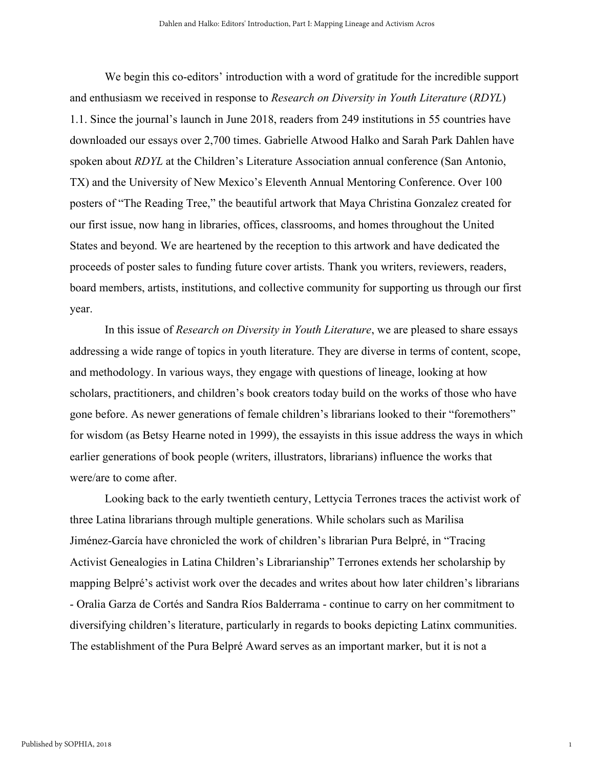We begin this co-editors' introduction with a word of gratitude for the incredible support and enthusiasm we received in response to *Research on Diversity in Youth Literature* (*RDYL*) 1.1. Since the journal's launch in June 2018, readers from 249 institutions in 55 countries have downloaded our essays over 2,700 times. Gabrielle Atwood Halko and Sarah Park Dahlen have spoken about *RDYL* at the Children's Literature Association annual conference (San Antonio, TX) and the University of New Mexico's Eleventh Annual Mentoring Conference. Over 100 posters of "The Reading Tree," the beautiful artwork that Maya Christina Gonzalez created for our first issue, now hang in libraries, offices, classrooms, and homes throughout the United States and beyond. We are heartened by the reception to this artwork and have dedicated the proceeds of poster sales to funding future cover artists. Thank you writers, reviewers, readers, board members, artists, institutions, and collective community for supporting us through our first year.

In this issue of *Research on Diversity in Youth Literature*, we are pleased to share essays addressing a wide range of topics in youth literature. They are diverse in terms of content, scope, and methodology. In various ways, they engage with questions of lineage, looking at how scholars, practitioners, and children's book creators today build on the works of those who have gone before. As newer generations of female children's librarians looked to their "foremothers" for wisdom (as Betsy Hearne noted in 1999), the essayists in this issue address the ways in which earlier generations of book people (writers, illustrators, librarians) influence the works that were/are to come after.

Looking back to the early twentieth century, Lettycia Terrones traces the activist work of three Latina librarians through multiple generations. While scholars such as Marilisa Jiménez-García have chronicled the work of children's librarian Pura Belpré, in "Tracing Activist Genealogies in Latina Children's Librarianship" Terrones extends her scholarship by mapping Belpré's activist work over the decades and writes about how later children's librarians - Oralia Garza de Cortés and Sandra Ríos Balderrama - continue to carry on her commitment to diversifying children's literature, particularly in regards to books depicting Latinx communities. The establishment of the Pura Belpré Award serves as an important marker, but it is not a

1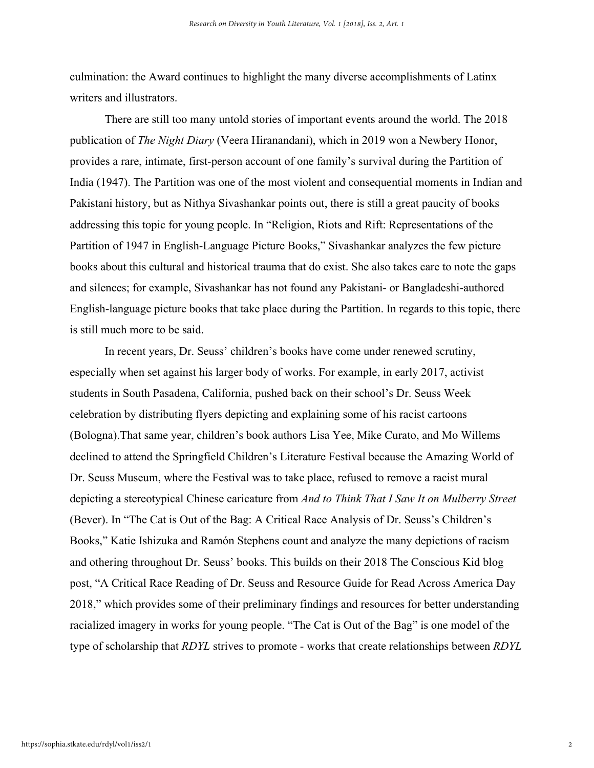culmination: the Award continues to highlight the many diverse accomplishments of Latinx writers and illustrators.

There are still too many untold stories of important events around the world. The 2018 publication of *The Night Diary* (Veera Hiranandani), which in 2019 won a Newbery Honor, provides a rare, intimate, first-person account of one family's survival during the Partition of India (1947). The Partition was one of the most violent and consequential moments in Indian and Pakistani history, but as Nithya Sivashankar points out, there is still a great paucity of books addressing this topic for young people. In "Religion, Riots and Rift: Representations of the Partition of 1947 in English-Language Picture Books," Sivashankar analyzes the few picture books about this cultural and historical trauma that do exist. She also takes care to note the gaps and silences; for example, Sivashankar has not found any Pakistani- or Bangladeshi-authored English-language picture books that take place during the Partition. In regards to this topic, there is still much more to be said.

In recent years, Dr. Seuss' children's books have come under renewed scrutiny, especially when set against his larger body of works. For example, in early 2017, activist students in South Pasadena, California, pushed back on their school's Dr. Seuss Week celebration by distributing flyers depicting and explaining some of his racist cartoons (Bologna).That same year, children's book authors Lisa Yee, Mike Curato, and Mo Willems declined to attend the Springfield Children's Literature Festival because the Amazing World of Dr. Seuss Museum, where the Festival was to take place, refused to remove a racist mural depicting a stereotypical Chinese caricature from *And to Think That I Saw It on Mulberry Street* (Bever). In "The Cat is Out of the Bag: A Critical Race Analysis of Dr. Seuss's Children's Books," Katie Ishizuka and Ramón Stephens count and analyze the many depictions of racism and othering throughout Dr. Seuss' books. This builds on their 2018 The Conscious Kid blog post, "A Critical Race Reading of Dr. Seuss and Resource Guide for Read Across America Day 2018," which provides some of their preliminary findings and resources for better understanding racialized imagery in works for young people. "The Cat is Out of the Bag" is one model of the type of scholarship that *RDYL* strives to promote - works that create relationships between *RDYL*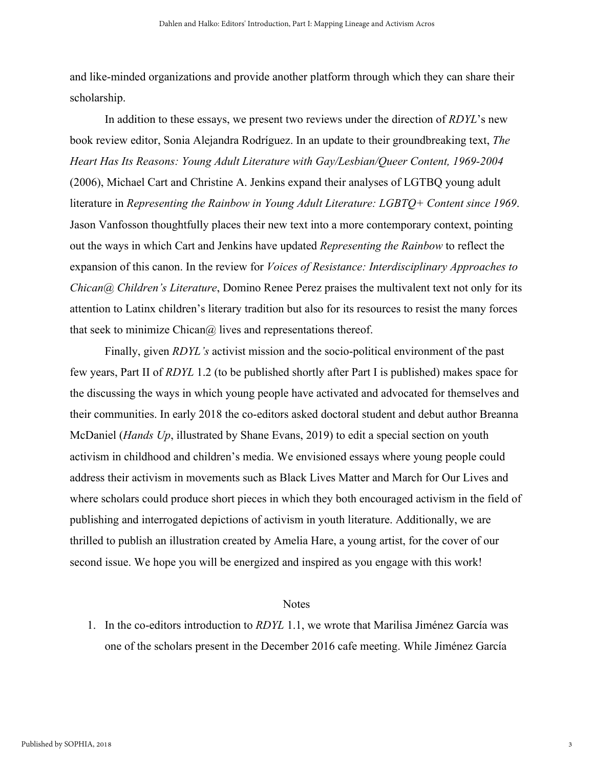and like-minded organizations and provide another platform through which they can share their scholarship.

In addition to these essays, we present two reviews under the direction of *RDYL*'s new book review editor, Sonia Alejandra Rodríguez. In an update to their groundbreaking text, *The Heart Has Its Reasons: Young Adult Literature with Gay/Lesbian/Queer Content, 1969-2004* (2006), Michael Cart and Christine A. Jenkins expand their analyses of LGTBQ young adult literature in *Representing the Rainbow in Young Adult Literature: LGBTQ+ Content since 1969*. Jason Vanfosson thoughtfully places their new text into a more contemporary context, pointing out the ways in which Cart and Jenkins have updated *Representing the Rainbow* to reflect the expansion of this canon. In the review for *Voices of Resistance: Interdisciplinary Approaches to Chican@ Children's Literature*, Domino Renee Perez praises the multivalent text not only for its attention to Latinx children's literary tradition but also for its resources to resist the many forces that seek to minimize Chican $\omega$  lives and representations thereof.

Finally, given *RDYL's* activist mission and the socio-political environment of the past few years, Part II of *RDYL* 1.2 (to be published shortly after Part I is published) makes space for the discussing the ways in which young people have activated and advocated for themselves and their communities. In early 2018 the co-editors asked doctoral student and debut author Breanna McDaniel (*Hands Up*, illustrated by Shane Evans, 2019) to edit a special section on youth activism in childhood and children's media. We envisioned essays where young people could address their activism in movements such as Black Lives Matter and March for Our Lives and where scholars could produce short pieces in which they both encouraged activism in the field of publishing and interrogated depictions of activism in youth literature. Additionally, we are thrilled to publish an illustration created by Amelia Hare, a young artist, for the cover of our second issue. We hope you will be energized and inspired as you engage with this work!

#### **Notes**

1. In the co-editors introduction to *RDYL* 1.1, we wrote that Marilisa Jiménez García was one of the scholars present in the December 2016 cafe meeting. While Jiménez García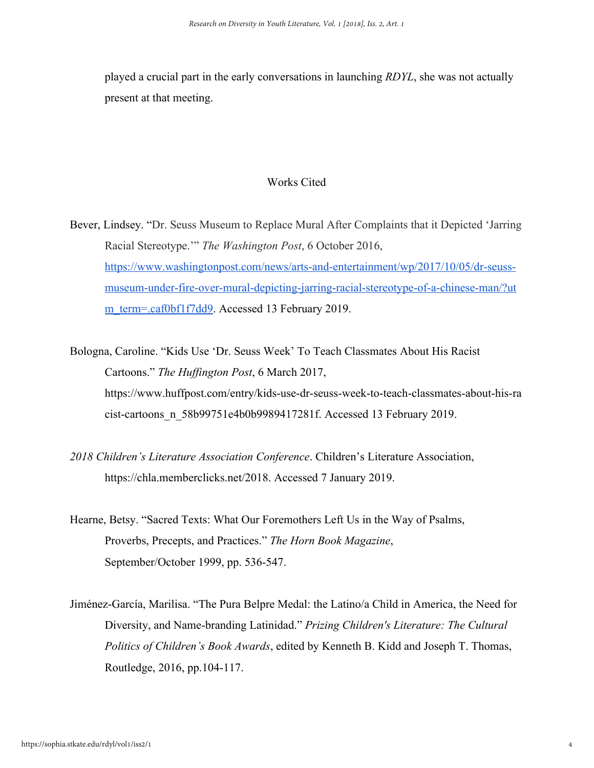played a crucial part in the early conversations in launching *RDYL*, she was not actually present at that meeting.

### Works Cited

Bever, Lindsey. "Dr. Seuss Museum to Replace Mural After Complaints that it Depicted 'Jarring Racial Stereotype.'" *The Washington Post*, 6 October 2016, [https://www.washingtonpost.com/news/arts-and-entertainment/wp/2017/10/05/dr-seuss](https://www.washingtonpost.com/news/arts-and-entertainment/wp/2017/10/05/dr-seuss-museum-under-fire-over-mural-depicting-jarring-racial-stereotype-of-a-chinese-man/?utm_term=.caf0bf1f7dd9)[museum-under-fire-over-mural-depicting-jarring-racial-stereotype-of-a-chinese-man/?ut](https://www.washingtonpost.com/news/arts-and-entertainment/wp/2017/10/05/dr-seuss-museum-under-fire-over-mural-depicting-jarring-racial-stereotype-of-a-chinese-man/?utm_term=.caf0bf1f7dd9) [m\\_term=.caf0bf1f7dd9.](https://www.washingtonpost.com/news/arts-and-entertainment/wp/2017/10/05/dr-seuss-museum-under-fire-over-mural-depicting-jarring-racial-stereotype-of-a-chinese-man/?utm_term=.caf0bf1f7dd9) Accessed 13 February 2019.

- Bologna, Caroline. "Kids Use 'Dr. Seuss Week' To Teach Classmates About His Racist Cartoons." *The Huffington Post*, 6 March 2017, https://www.huffpost.com/entry/kids-use-dr-seuss-week-to-teach-classmates-about-his-ra cist-cartoons\_n\_58b99751e4b0b9989417281f. Accessed 13 February 2019.
- *2018 Children's Literature Association Conference*. Children's Literature Association, https://chla.memberclicks.net/2018. Accessed 7 January 2019.
- Hearne, Betsy. "Sacred Texts: What Our Foremothers Left Us in the Way of Psalms, Proverbs, Precepts, and Practices." *The Horn Book Magazine*, September/October 1999, pp. 536-547.
- Jiménez-García, Marilisa. "The Pura Belpre Medal: the Latino/a Child in America, the Need for Diversity, and Name-branding Latinidad." *Prizing Children's Literature: The Cultural Politics of Children's Book Awards*, edited by Kenneth B. Kidd and Joseph T. Thomas, Routledge, 2016, pp.104-117.